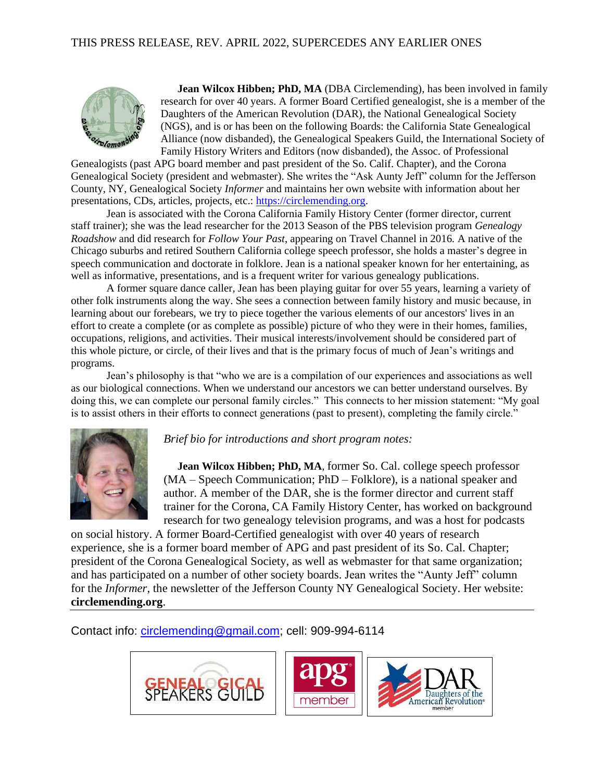## THIS PRESS RELEASE, REV. APRIL 2022, SUPERCEDES ANY EARLIER ONES



**Jean Wilcox Hibben; PhD, MA** (DBA Circlemending), has been involved in family research for over 40 years. A former Board Certified genealogist, she is a member of the Daughters of the American Revolution (DAR), the National Genealogical Society (NGS), and is or has been on the following Boards: the California State Genealogical Alliance (now disbanded), the Genealogical Speakers Guild, the International Society of Family History Writers and Editors (now disbanded), the Assoc. of Professional

Genealogists (past APG board member and past president of the So. Calif. Chapter), and the Corona Genealogical Society (president and webmaster). She writes the "Ask Aunty Jeff" column for the Jefferson County, NY, Genealogical Society *Informer* and maintains her own website with information about her presentations, CDs, articles, projects, etc.: [https://circlemending.org.](https://circlemending.org/)

Jean is associated with the Corona California Family History Center (former director, current staff trainer); she was the lead researcher for the 2013 Season of the PBS television program *Genealogy Roadshow* and did research for *Follow Your Past*, appearing on Travel Channel in 2016*.* A native of the Chicago suburbs and retired Southern California college speech professor, she holds a master's degree in speech communication and doctorate in folklore. Jean is a national speaker known for her entertaining, as well as informative, presentations, and is a frequent writer for various genealogy publications.

A former square dance caller, Jean has been playing guitar for over 55 years, learning a variety of other folk instruments along the way. She sees a connection between family history and music because, in learning about our forebears, we try to piece together the various elements of our ancestors' lives in an effort to create a complete (or as complete as possible) picture of who they were in their homes, families, occupations, religions, and activities. Their musical interests/involvement should be considered part of this whole picture, or circle, of their lives and that is the primary focus of much of Jean's writings and programs.

Jean's philosophy is that "who we are is a compilation of our experiences and associations as well as our biological connections. When we understand our ancestors we can better understand ourselves. By doing this, we can complete our personal family circles." This connects to her mission statement: "My goal is to assist others in their efforts to connect generations (past to present), completing the family circle."



## *Brief bio for introductions and short program notes:*

**Jean Wilcox Hibben; PhD, MA**, former So. Cal. college speech professor (MA – Speech Communication; PhD – Folklore), is a national speaker and author. A member of the DAR, she is the former director and current staff trainer for the Corona, CA Family History Center, has worked on background research for two genealogy television programs, and was a host for podcasts

on social history. A former Board-Certified genealogist with over 40 years of research experience, she is a former board member of APG and past president of its So. Cal. Chapter; president of the Corona Genealogical Society, as well as webmaster for that same organization; and has participated on a number of other society boards. Jean writes the "Aunty Jeff" column for the *Informer*, the newsletter of the Jefferson County NY Genealogical Society. Her website: **circlemending.org**.

Contact info: [circlemending@gmail.com;](mailto:circlemending@gmail.com) cell: 909-994-6114